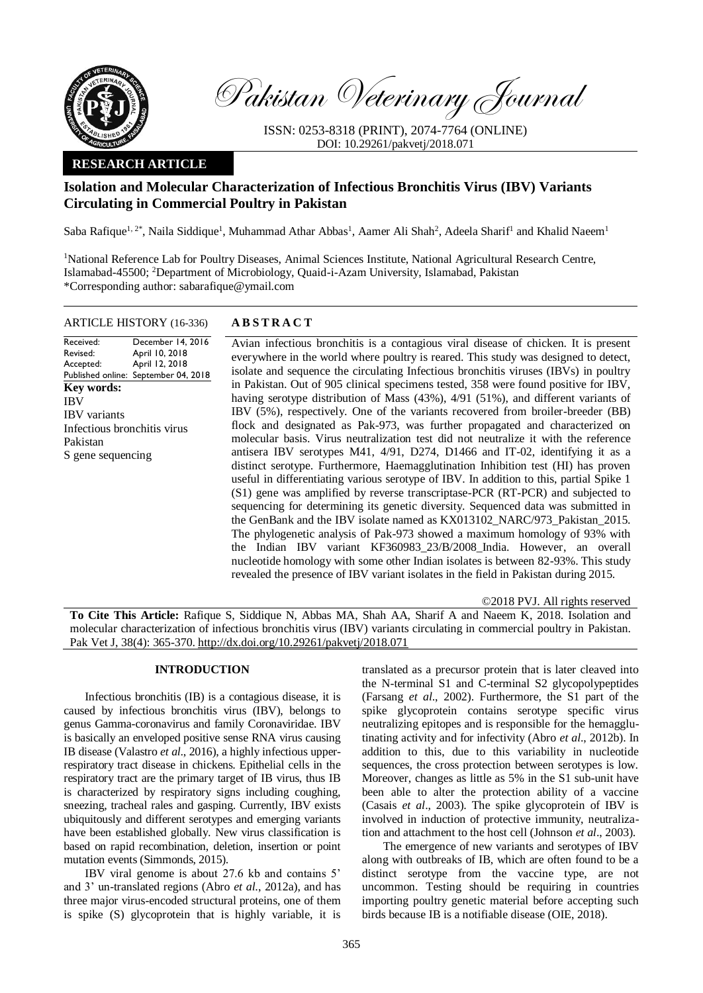

Pakistan Veterinary Journal

ISSN: 0253-8318 (PRINT), 2074-7764 (ONLINE) DOI: 10.29261/pakvetj/2018.071

## **RESEARCH ARTICLE**

# **Isolation and Molecular Characterization of Infectious Bronchitis Virus (IBV) Variants Circulating in Commercial Poultry in Pakistan**

Saba Rafique<sup>1, 2\*</sup>, Naila Siddique<sup>1</sup>, Muhammad Athar Abbas<sup>1</sup>, Aamer Ali Shah<sup>2</sup>, Adeela Sharif<sup>1</sup> and Khalid Naeem<sup>1</sup>

<sup>1</sup>National Reference Lab for Poultry Diseases, Animal Sciences Institute, National Agricultural Research Centre, Islamabad-45500; <sup>2</sup>Department of Microbiology, Quaid-i-Azam University, Islamabad, Pakistan \*Corresponding author: sabarafique@ymail.com

#### ARTICLE HISTORY (16-336) **A B S T R A C T**

Received: Revised: Accepted: Published online: September 04, 2018 December 14, 2016 April 10, 2018 April 12, 2018 **Key words:**  IBV IBV variants Infectious bronchitis virus Pakistan S gene sequencing

Avian infectious bronchitis is a contagious viral disease of chicken. It is present everywhere in the world where poultry is reared. This study was designed to detect, isolate and sequence the circulating Infectious bronchitis viruses (IBVs) in poultry in Pakistan. Out of 905 clinical specimens tested, 358 were found positive for IBV, having serotype distribution of Mass (43%), 4/91 (51%), and different variants of IBV (5%), respectively. One of the variants recovered from broiler-breeder (BB) flock and designated as Pak-973, was further propagated and characterized on molecular basis. Virus neutralization test did not neutralize it with the reference antisera IBV serotypes M41, 4/91, D274, D1466 and IT-02, identifying it as a distinct serotype. Furthermore, Haemagglutination Inhibition test (HI) has proven useful in differentiating various serotype of IBV. In addition to this, partial Spike 1 (S1) gene was amplified by reverse transcriptase-PCR (RT-PCR) and subjected to sequencing for determining its genetic diversity. Sequenced data was submitted in the GenBank and the IBV isolate named as KX013102\_NARC/973\_Pakistan\_2015. The phylogenetic analysis of Pak-973 showed a maximum homology of 93% with the Indian IBV variant KF360983\_23/B/2008\_India. However, an overall nucleotide homology with some other Indian isolates is between 82-93%. This study revealed the presence of IBV variant isolates in the field in Pakistan during 2015.

©2018 PVJ. All rights reserved

**To Cite This Article:** Rafique S, Siddique N, Abbas MA, Shah AA, Sharif A and Naeem K, 2018. Isolation and molecular characterization of infectious bronchitis virus (IBV) variants circulating in commercial poultry in Pakistan. Pak Vet J, 38(4): 365-370. [http://dx.doi.org/10.29261/pakvetj/2018.071](http://pvj.com.pk/pdf-files/38_4/365-370.pdf) 

#### **INTRODUCTION**

Infectious bronchitis (IB) is a contagious disease, it is caused by infectious bronchitis virus (IBV), belongs to genus Gamma-coronavirus and family Coronaviridae. IBV is basically an enveloped positive sense RNA virus causing IB disease (Valastro *et al*., 2016), a highly infectious upperrespiratory tract disease in chickens. Epithelial cells in the respiratory tract are the primary target of IB virus, thus IB is characterized by respiratory signs including coughing, sneezing, tracheal rales and gasping. Currently, IBV exists ubiquitously and different serotypes and emerging variants have been established globally. New virus classification is based on rapid recombination, deletion, insertion or point mutation events (Simmonds, 2015).

IBV viral genome is about 27.6 kb and contains 5' and 3' un-translated regions (Abro *et al*., 2012a), and has three major virus-encoded structural proteins, one of them is spike (S) glycoprotein that is highly variable, it is translated as a precursor protein that is later cleaved into the N-terminal S1 and C-terminal S2 glycopolypeptides (Farsang *et al*., 2002). Furthermore, the S1 part of the spike glycoprotein contains serotype specific virus neutralizing epitopes and is responsible for the hemagglutinating activity and for infectivity (Abro *et al*., 2012b). In addition to this, due to this variability in nucleotide sequences, the cross protection between serotypes is low. Moreover, changes as little as 5% in the S1 sub-unit have been able to alter the protection ability of a vaccine (Casais *et al*., 2003). The spike glycoprotein of IBV is involved in induction of protective immunity, neutralization and attachment to the host cell (Johnson *et al*., 2003).

The emergence of new variants and serotypes of IBV along with outbreaks of IB, which are often found to be a distinct serotype from the vaccine type, are not uncommon. Testing should be requiring in countries importing poultry genetic material before accepting such birds because IB is a notifiable disease (OIE, 2018).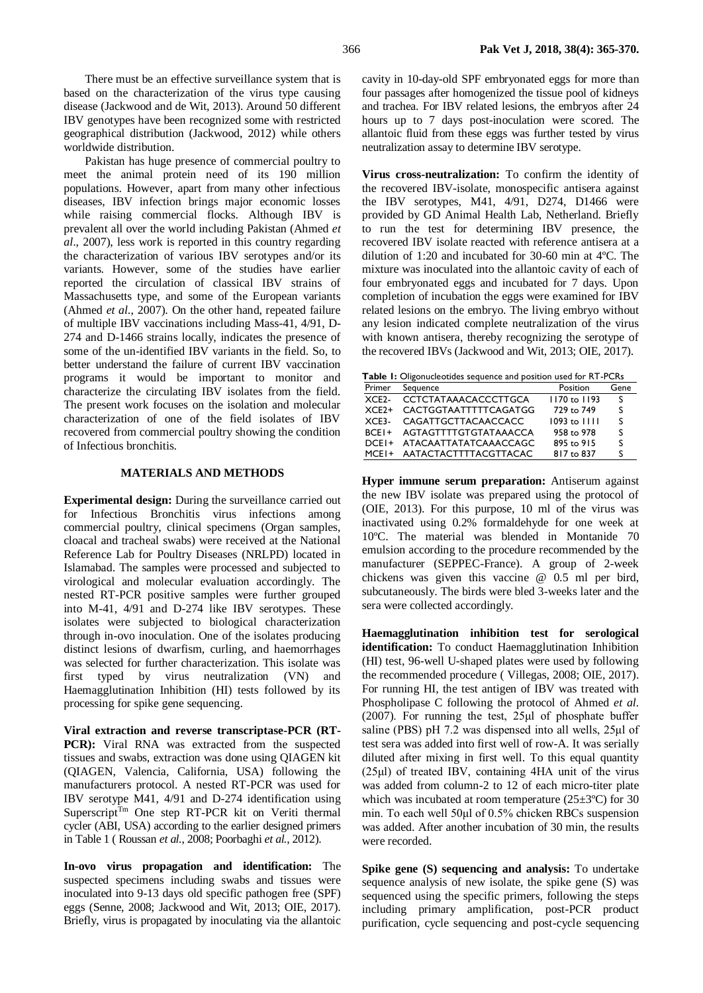There must be an effective surveillance system that is based on the characterization of the virus type causing disease (Jackwood and de Wit, 2013). Around 50 different IBV genotypes have been recognized some with restricted geographical distribution (Jackwood, 2012) while others worldwide distribution.

Pakistan has huge presence of commercial poultry to meet the animal protein need of its 190 million populations. However, apart from many other infectious diseases, IBV infection brings major economic losses while raising commercial flocks. Although IBV is prevalent all over the world including Pakistan (Ahmed *et al*., 2007), less work is reported in this country regarding the characterization of various IBV serotypes and/or its variants. However, some of the studies have earlier reported the circulation of classical IBV strains of Massachusetts type, and some of the European variants (Ahmed *et al*., 2007). On the other hand, repeated failure of multiple IBV vaccinations including Mass-41, 4/91, D-274 and D-1466 strains locally, indicates the presence of some of the un-identified IBV variants in the field. So, to better understand the failure of current IBV vaccination programs it would be important to monitor and characterize the circulating IBV isolates from the field. The present work focuses on the isolation and molecular characterization of one of the field isolates of IBV recovered from commercial poultry showing the condition of Infectious bronchitis.

### **MATERIALS AND METHODS**

**Experimental design:** During the surveillance carried out for Infectious Bronchitis virus infections among commercial poultry, clinical specimens (Organ samples, cloacal and tracheal swabs) were received at the National Reference Lab for Poultry Diseases (NRLPD) located in Islamabad. The samples were processed and subjected to virological and molecular evaluation accordingly. The nested RT-PCR positive samples were further grouped into M-41, 4/91 and D-274 like IBV serotypes. These isolates were subjected to biological characterization through in-ovo inoculation. One of the isolates producing distinct lesions of dwarfism, curling, and haemorrhages was selected for further characterization. This isolate was first typed by virus neutralization (VN) and Haemagglutination Inhibition (HI) tests followed by its processing for spike gene sequencing.

**Viral extraction and reverse transcriptase-PCR (RT-PCR**): Viral RNA was extracted from the suspected tissues and swabs, extraction was done using QIAGEN kit (QIAGEN, Valencia, California, USA) following the manufacturers protocol. A nested RT-PCR was used for IBV serotype M41, 4/91 and D-274 identification using Superscript<sup>Tm</sup> One step RT-PCR kit on Veriti thermal cycler (ABI, USA) according to the earlier designed primers in Table 1 ( Roussan *et al.*, 2008; Poorbaghi *et al.*, 2012).

**In-ovo virus propagation and identification:** The suspected specimens including swabs and tissues were inoculated into 9-13 days old specific pathogen free (SPF) eggs (Senne, 2008; Jackwood and Wit, 2013; OIE, 2017). Briefly, virus is propagated by inoculating via the allantoic cavity in 10-day-old SPF embryonated eggs for more than four passages after homogenized the tissue pool of kidneys and trachea. For IBV related lesions, the embryos after 24 hours up to 7 days post-inoculation were scored. The allantoic fluid from these eggs was further tested by virus neutralization assay to determine IBV serotype.

**Virus cross-neutralization:** To confirm the identity of the recovered IBV-isolate, monospecific antisera against the IBV serotypes, M41, 4/91, D274, D1466 were provided by GD Animal Health Lab, Netherland. Briefly to run the test for determining IBV presence, the recovered IBV isolate reacted with reference antisera at a dilution of 1:20 and incubated for 30-60 min at 4ºC. The mixture was inoculated into the allantoic cavity of each of four embryonated eggs and incubated for 7 days. Upon completion of incubation the eggs were examined for IBV related lesions on the embryo. The living embryo without any lesion indicated complete neutralization of the virus with known antisera, thereby recognizing the serotype of the recovered IBVs (Jackwood and Wit, 2013; OIE, 2017).

| <b>Table 1:</b> Oligonucleotides sequence and position used for RT-PCRs |                              |                         |      |  |  |  |  |  |  |  |  |
|-------------------------------------------------------------------------|------------------------------|-------------------------|------|--|--|--|--|--|--|--|--|
| Primer                                                                  | Sequence                     | Position                | Gene |  |  |  |  |  |  |  |  |
| $XCF2-$                                                                 | <b>CCTCTATAAACACCCTTGCA</b>  | $1170 \text{ to } 1193$ | S    |  |  |  |  |  |  |  |  |
| $XCF2+$                                                                 | <b>CACTGGTAATTTTTCAGATGG</b> | 729 to 749              | S    |  |  |  |  |  |  |  |  |
| $XCF3-$                                                                 | CAGATTGCTTACAACCACC          | $1093$ to $1111$        | S    |  |  |  |  |  |  |  |  |
| $BCF1+$                                                                 | AGTAGTTTTGTGTATAAACCA        | 958 to 978              | S    |  |  |  |  |  |  |  |  |
| $DCF1+$                                                                 | ATACAATTATATCAAACCAGC        | 895 to 915              | S    |  |  |  |  |  |  |  |  |
| $MCF1+$                                                                 | AATACTACTTTTACGTTACAC        | 817 to 837              | S    |  |  |  |  |  |  |  |  |

**Hyper immune serum preparation:** Antiserum against the new IBV isolate was prepared using the protocol of (OIE, 2013). For this purpose, 10 ml of the virus was inactivated using 0.2% formaldehyde for one week at 10ºC. The material was blended in Montanide 70 emulsion according to the procedure recommended by the manufacturer (SEPPEC-France). A group of 2-week chickens was given this vaccine @ 0.5 ml per bird, subcutaneously. The birds were bled 3-weeks later and the sera were collected accordingly.

**Haemagglutination inhibition test for serological identification:** To conduct Haemagglutination Inhibition (HI) test, 96-well U-shaped plates were used by following the recommended procedure ( Villegas, 2008; OIE, 2017). For running HI, the test antigen of IBV was treated with Phospholipase C following the protocol of Ahmed *et al.* (2007). For running the test, 25μl of phosphate buffer saline (PBS) pH 7.2 was dispensed into all wells, 25μl of test sera was added into first well of row-A. It was serially diluted after mixing in first well. To this equal quantity (25μl) of treated IBV, containing 4HA unit of the virus was added from column-2 to 12 of each micro-titer plate which was incubated at room temperature (25±3ºC) for 30 min. To each well 50μl of 0.5% chicken RBCs suspension was added. After another incubation of 30 min, the results were recorded.

**Spike gene (S) sequencing and analysis:** To undertake sequence analysis of new isolate, the spike gene (S) was sequenced using the specific primers, following the steps including primary amplification, post-PCR product purification, cycle sequencing and post-cycle sequencing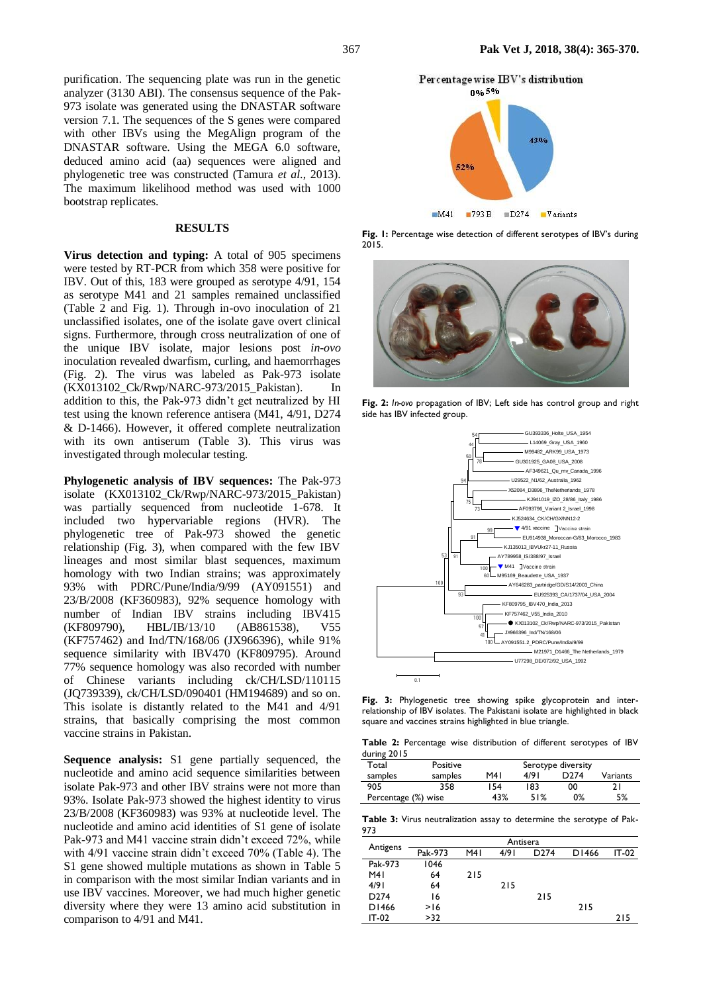purification. The sequencing plate was run in the genetic analyzer (3130 ABI). The consensus sequence of the Pak-973 isolate was generated using the DNASTAR software version 7.1. The sequences of the S genes were compared with other IBVs using the MegAlign program of the DNASTAR software. Using the MEGA 6.0 software, deduced amino acid (aa) sequences were aligned and phylogenetic tree was constructed (Tamura *et al*., 2013). The maximum likelihood method was used with 1000 bootstrap replicates.

#### **RESULTS**

**Virus detection and typing:** A total of 905 specimens were tested by RT-PCR from which 358 were positive for IBV. Out of this, 183 were grouped as serotype 4/91, 154 as serotype M41 and 21 samples remained unclassified (Table 2 and Fig. 1). Through in-ovo inoculation of 21 unclassified isolates, one of the isolate gave overt clinical signs. Furthermore, through cross neutralization of one of the unique IBV isolate, major lesions post *in-ovo* inoculation revealed dwarfism, curling, and haemorrhages (Fig. 2). The virus was labeled as Pak-973 isolate (KX013102\_Ck/Rwp/NARC-973/2015\_Pakistan). In addition to this, the Pak-973 didn't get neutralized by HI test using the known reference antisera (M41, 4/91, D274 & D-1466). However, it offered complete neutralization with its own antiserum (Table 3). This virus was investigated through molecular testing.

**Phylogenetic analysis of IBV sequences:** The Pak-973 isolate (KX013102\_Ck/Rwp/NARC-973/2015\_Pakistan) was partially sequenced from nucleotide 1-678. It included two hypervariable regions (HVR). The phylogenetic tree of Pak-973 showed the genetic relationship (Fig. 3), when compared with the few IBV lineages and most similar blast sequences, maximum homology with two Indian strains; was approximately 93% with PDRC/Pune/India/9/99 (AY091551) and 23/B/2008 (KF360983), 92% sequence homology with number of Indian IBV strains including IBV415 (KF809790), HBL/IB/13/10 (AB861538), V55 (KF757462) and Ind/TN/168/06 (JX966396), while 91% sequence similarity with IBV470 (KF809795). Around 77% sequence homology was also recorded with number of Chinese variants including ck/CH/LSD/110115 (JQ739339), ck/CH/LSD/090401 (HM194689) and so on. This isolate is distantly related to the M41 and 4/91 strains, that basically comprising the most common vaccine strains in Pakistan.

**Sequence analysis:** S1 gene partially sequenced, the nucleotide and amino acid sequence similarities between isolate Pak-973 and other IBV strains were not more than 93%. Isolate Pak-973 showed the highest identity to virus 23/B/2008 (KF360983) was 93% at nucleotide level. The nucleotide and amino acid identities of S1 gene of isolate Pak-973 and M41 vaccine strain didn't exceed 72%, while with 4/91 vaccine strain didn't exceed 70% (Table 4). The S1 gene showed multiple mutations as shown in Table 5 in comparison with the most similar Indian variants and in use IBV vaccines. Moreover, we had much higher genetic diversity where they were 13 amino acid substitution in comparison to 4/91 and M41.



 $M41$  $\blacksquare$ 793 $\blacksquare$  $\blacksquare$ D274 Variants

**Fig. 1:** Percentage wise detection of different serotypes of IBV's during 2015.



**Fig. 2:** *In-ovo* propagation of IBV; Left side has control group and right side has IBV infected group.



**Fig. 3:** Phylogenetic tree showing spike glycoprotein and interrelationship of IBV isolates. The Pakistani isolate are highlighted in black square and vaccines strains highlighted in blue triangle.

**Table 2:** Percentage wise distribution of different serotypes of IBV during 2015

| ------              |          |      |                    |      |          |  |  |  |  |  |  |  |
|---------------------|----------|------|--------------------|------|----------|--|--|--|--|--|--|--|
| Total               | Positive |      | Serotype diversity |      |          |  |  |  |  |  |  |  |
| samples             | samples  | M4 I | 4/91               | 774. | Variants |  |  |  |  |  |  |  |
| 905                 | 358      | 154  | 183                | 00   |          |  |  |  |  |  |  |  |
| Percentage (%) wise |          | 43%  | 51%                | 0%   | 5%       |  |  |  |  |  |  |  |

**Table 3:** Virus neutralization assay to determine the serotype of Pak-973

|                  | Antisera |     |      |                  |       |       |  |  |  |  |  |  |  |
|------------------|----------|-----|------|------------------|-------|-------|--|--|--|--|--|--|--|
| Antigens         | Pak-973  | M41 | 4/91 | D <sub>274</sub> | D1466 | IT-02 |  |  |  |  |  |  |  |
| Pak-973          | 1046     |     |      |                  |       |       |  |  |  |  |  |  |  |
| M41              | 64       | 215 |      |                  |       |       |  |  |  |  |  |  |  |
| 4/91             | 64       |     | 215  |                  |       |       |  |  |  |  |  |  |  |
| D <sub>274</sub> | 16       |     |      | 215              |       |       |  |  |  |  |  |  |  |
| D1466            | >16      |     |      |                  | 215   |       |  |  |  |  |  |  |  |
| IT-02            | >32      |     |      |                  |       | 215   |  |  |  |  |  |  |  |
|                  |          |     |      |                  |       |       |  |  |  |  |  |  |  |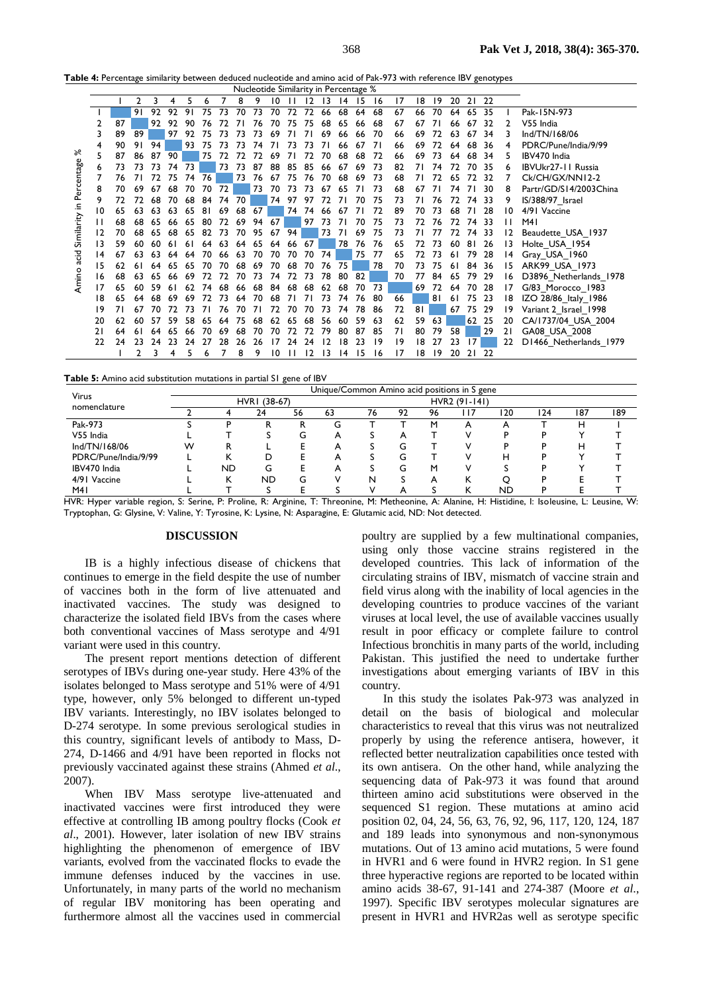**Table 4:** Percentage similarity between deduced nucleotide and amino acid of Pak-973 with reference IBV genotypes

|            | Nucleotide Similarity in Percentage % |     |     |    |     |    |    |    |    |    |    |                |    |                 |    |    |                |    |    |    |     |    |      |    |                           |
|------------|---------------------------------------|-----|-----|----|-----|----|----|----|----|----|----|----------------|----|-----------------|----|----|----------------|----|----|----|-----|----|------|----|---------------------------|
|            |                                       |     | 2   | 3  | 4   |    | 6  |    | 8  | 9  | 10 |                | 12 | 13              | 14 | 15 | 16             | 17 | 18 | 19 | 20  | 21 | 22   |    |                           |
|            |                                       |     | 91  | 92 | 97  | 9  | 75 | 73 | 70 | 73 | 70 | 72             | 72 | 66              | 68 | 64 | 68             | 67 | 66 | 70 | 64  | 65 | 35   |    | Pak-15N-973               |
|            | 2                                     | 87  |     | 92 | 92  | 90 |    |    |    | 76 | 70 | 75             | 75 | 68              | 65 | 66 | 68             | 67 | 67 |    | 66  | 67 | 32   |    | V55 India                 |
|            |                                       | 89  | 89  |    | 97  | 97 |    |    |    | 73 | 69 |                |    | 69              | 66 | 66 | 70             | 66 | 69 | 72 | 63  | 67 | 34   |    | Ind/TN/168/06             |
|            | 4                                     | 90  | 91  | 94 |     | 93 | 75 |    | 73 | 74 |    | 73             | 73 | 71              | 66 | 67 | 7 <sup>1</sup> | 66 | 69 | 72 | 64  | 68 | 36   | 4  | PDRC/Pune/India/9/99      |
| ৯ৎ         |                                       | 87  | 86  | 87 | 90  |    | 75 | 72 |    |    | 69 |                |    | 70              | 68 | 68 | 72             | 66 | 69 | 73 | 64  | 68 | 34   |    | IBV470 India              |
|            | 6                                     | 73  | 73  | 73 | 74  | 73 |    | 73 | 73 | 87 | 88 | -85            | 85 | 66              | 67 | 69 | 73             | 82 | 71 | 74 | 72  | 70 | -35  |    | <b>IBVUkr27-11 Russia</b> |
|            |                                       | 76  |     |    | 75  | 74 | 76 |    | 73 | 76 | 67 | 75             | 76 | 70              | 68 | 69 | 73             | 68 | 71 |    |     | 77 | 32   |    | Ck/CH/GX/NN12-2           |
| Percentage | 8                                     | 70  | 69  | 67 | 68  | 70 | 70 | 72 |    | 73 | 70 | 73             | 73 | 67              | 65 |    | 73             | 68 | 67 |    | 74  | 71 | 30   |    | Partr/GD/S14/2003China    |
|            | 9                                     | 72  | 72  | 68 | 70  | 68 | 84 | 74 | 70 |    | 74 | 97             | 97 | 72              |    |    | 75             | 73 | 71 | 76 | 72  | 74 | - 33 | 9  | IS/388/97 Israel          |
| ≘.         | 10                                    | 65  | 63  | 63 | 63  | 65 | 81 | 69 | 68 | 67 |    | 74             | 74 | 66              | 67 |    | 72             | 89 | 70 | 73 | 68  | 71 | 28   | 10 | 4/91 Vaccine              |
| Similarity | п                                     | 68  | 68  | 65 | 66  |    | 80 |    | 69 | 94 | 67 |                | 97 | 73              |    |    | 75             | 73 | 72 | 76 |     | 74 | -33  |    | M41                       |
|            | 12                                    | 70  | 68  | 65 | 68  | 65 | 82 | 73 | 70 | 95 | 67 | 94             |    | 73              | 71 | 69 | 75             | 73 | 71 | 77 | 72  | 74 | -33  |    | Beaudette USA 1937        |
|            | 13                                    | 59  | 60  | 60 |     |    |    |    | 64 | 65 | 64 | 66             | 67 |                 | 78 | 76 | 76             | 65 | 72 | 73 | 60  | 81 | 26   | 13 | Holte_USA_1954            |
| pias       | 14                                    | 67  | 63  | 63 | 64  | 64 | 70 | 66 | 63 | 70 | 70 | 70             | 70 | 74              |    | 75 | 77             | 65 | 72 | 73 | 6 I | 79 | 28   | 14 | Gray_USA_1960             |
|            | 15                                    | 62  |     | 64 |     |    |    | 70 | 68 | 69 | 70 | 68             | 70 | 76              | 75 |    | 78             | 70 | 73 | 75 | 61  | 84 | - 36 | 15 | ARK99 USA 1973            |
| Amino      | 16                                    | 68  | 63  | 65 | 66  | 69 |    |    |    | 73 | 74 | 72             | 73 | 78              | 80 | 82 |                | 70 | 77 | 84 | 65  | 79 | -29  | 16 | D3896 Netherlands 1978    |
|            | 17                                    | 65  | 60  | 59 | 6 I | 62 | 74 | 68 | 66 | 68 | 84 | 68             | 68 | 62              | 68 | 70 | 73             |    | 69 | 72 | 64  | 70 | -28  | 17 | G/83 Morocco 1983         |
|            | 18                                    | 65  | 64  | 68 | 69  | 69 |    | 73 | 64 | 70 | 68 | $\overline{7}$ |    | 73              | 74 | 76 | 80             | 66 |    | 81 | 6 I | 75 | 23   | 18 | IZO 28/86_Italy_1986      |
|            | 19                                    | 7 I |     |    |     |    |    | 76 |    |    |    |                |    | 73              | 74 | 78 | 86             | 72 | 81 |    | 67  | 75 | -29  | 19 | Variant 2 Israel 1998     |
|            | 20                                    | 62  | 60  | 57 | 59  | 58 | 65 | 64 | 75 | 68 | 62 | 65             | 68 | 56              | 60 | 59 | 63             | 62 | 59 | 63 |     | 62 | 25   | 20 | CA/1737/04_USA_2004       |
|            | 21                                    | 64  | 6 I | 64 |     |    |    | 69 | 68 |    | 70 |                |    | 79              | 80 | 87 | 85             | 71 | 80 | 79 | 58  |    | 29   | 21 | GA08_USA_2008             |
|            | 22                                    | 24  | 23  | 24 | 23  | 74 |    | 28 | 26 | 26 | 17 | 74             |    |                 |    | 23 | 19             | 19 | 18 | 27 | 23  | 7  |      | 22 | D1466 Netherlands 1979    |
|            |                                       |     | 2   | 3  | 4   |    | 6  |    | 8  | 9  | 10 |                | 12 | $\overline{13}$ | 14 | 15 | 16             | 17 | 18 | 9  | 20  | 21 | 22   |    |                           |

**Table 5:** Amino acid substitution mutations in partial S1 gene of IBV

|                      | Unique/Common Amino acid positions in S gene |           |              |    |    |    |    |    |               |     |     |     |     |  |
|----------------------|----------------------------------------------|-----------|--------------|----|----|----|----|----|---------------|-----|-----|-----|-----|--|
| Virus                |                                              |           | HVRI (38-67) |    |    |    |    |    | HVR2 (91-141) |     |     |     |     |  |
| nomenclature         |                                              |           | 24           | 56 | 63 | 76 | 92 | 96 |               | 120 | 124 | 187 | 189 |  |
| Pak-973              |                                              |           |              |    | G  |    |    | м  | А             | A   |     | н   |     |  |
| V55 India            |                                              |           |              | G  | А  |    | А  |    |               |     |     |     |     |  |
| Ind/TN/168/06        | W                                            | R         |              |    | Α  |    | G  |    |               |     |     | н   |     |  |
| PDRC/Pune/India/9/99 |                                              |           | D            |    | Α  |    | G  |    |               | н   |     |     |     |  |
| IBV470 India         |                                              | <b>ND</b> | G            |    | Α  |    | G  | м  |               |     |     |     |     |  |
| 4/91 Vaccine         |                                              |           | ND           | G  |    | N  |    | А  |               |     |     |     |     |  |
| M41                  |                                              |           |              |    |    |    |    |    |               | ND  |     |     |     |  |

HVR: Hyper variable region, S: Serine, P: Proline, R: Arginine, T: Threonine, M: Metheonine, A: Alanine, H: Histidine, I: Isoleusine, L: Leusine, W: Tryptophan, G: Glysine, V: Valine, Y: Tyrosine, K: Lysine, N: Asparagine, E: Glutamic acid, ND: Not detected.

#### **DISCUSSION**

IB is a highly infectious disease of chickens that continues to emerge in the field despite the use of number of vaccines both in the form of live attenuated and inactivated vaccines. The study was designed to characterize the isolated field IBVs from the cases where both conventional vaccines of Mass serotype and 4/91 variant were used in this country.

The present report mentions detection of different serotypes of IBVs during one-year study. Here 43% of the isolates belonged to Mass serotype and 51% were of 4/91 type, however, only 5% belonged to different un-typed IBV variants. Interestingly, no IBV isolates belonged to D-274 serotype. In some previous serological studies in this country, significant levels of antibody to Mass, D-274, D-1466 and 4/91 have been reported in flocks not previously vaccinated against these strains (Ahmed *et al*., 2007).

When IBV Mass serotype live-attenuated and inactivated vaccines were first introduced they were effective at controlling IB among poultry flocks (Cook *et al*., 2001). However, later isolation of new IBV strains highlighting the phenomenon of emergence of IBV variants, evolved from the vaccinated flocks to evade the immune defenses induced by the vaccines in use. Unfortunately, in many parts of the world no mechanism of regular IBV monitoring has been operating and furthermore almost all the vaccines used in commercial poultry are supplied by a few multinational companies, using only those vaccine strains registered in the developed countries. This lack of information of the circulating strains of IBV, mismatch of vaccine strain and field virus along with the inability of local agencies in the developing countries to produce vaccines of the variant viruses at local level, the use of available vaccines usually result in poor efficacy or complete failure to control Infectious bronchitis in many parts of the world, including Pakistan. This justified the need to undertake further investigations about emerging variants of IBV in this country.

In this study the isolates Pak-973 was analyzed in detail on the basis of biological and molecular characteristics to reveal that this virus was not neutralized properly by using the reference antisera, however, it reflected better neutralization capabilities once tested with its own antisera. On the other hand, while analyzing the sequencing data of Pak-973 it was found that around thirteen amino acid substitutions were observed in the sequenced S1 region. These mutations at amino acid position 02, 04, 24, 56, 63, 76, 92, 96, 117, 120, 124, 187 and 189 leads into synonymous and non-synonymous mutations. Out of 13 amino acid mutations, 5 were found in HVR1 and 6 were found in HVR2 region. In S1 gene three hyperactive regions are reported to be located within amino acids 38-67, 91-141 and 274-387 (Moore *et al*., 1997). Specific IBV serotypes molecular signatures are present in HVR1 and HVR2as well as serotype specific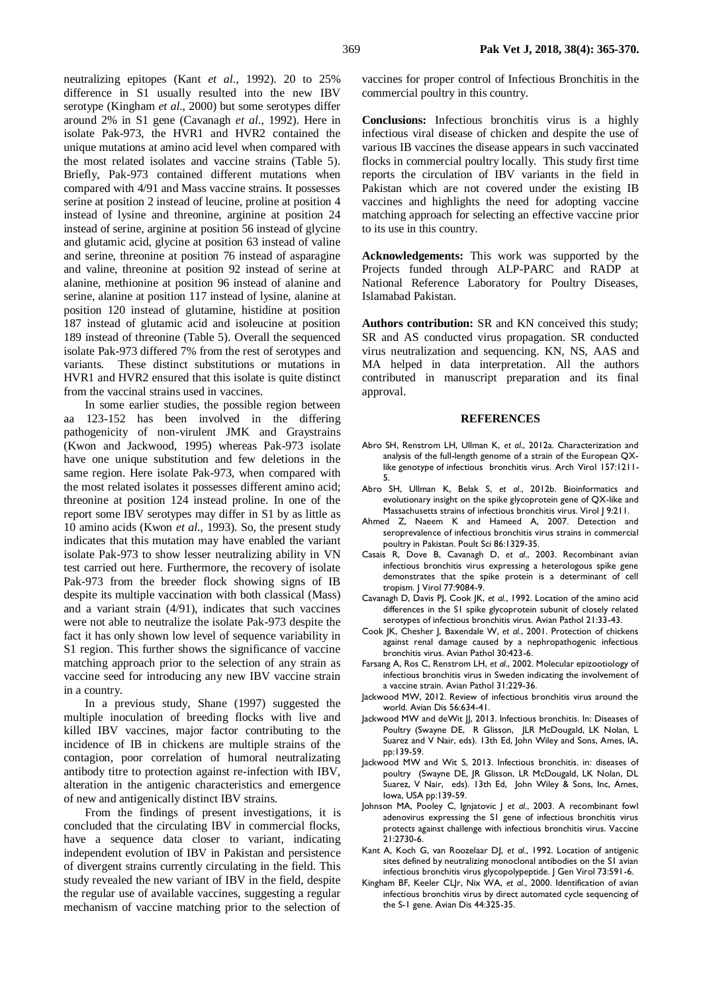neutralizing epitopes (Kant *et al*., 1992). 20 to 25% difference in S1 usually resulted into the new IBV serotype (Kingham *et al*., 2000) but some serotypes differ around 2% in S1 gene (Cavanagh *et al*., 1992). Here in isolate Pak-973, the HVR1 and HVR2 contained the unique mutations at amino acid level when compared with the most related isolates and vaccine strains (Table 5). Briefly, Pak-973 contained different mutations when compared with 4/91 and Mass vaccine strains. It possesses serine at position 2 instead of leucine, proline at position 4 instead of lysine and threonine, arginine at position 24 instead of serine, arginine at position 56 instead of glycine and glutamic acid, glycine at position 63 instead of valine and serine, threonine at position 76 instead of asparagine and valine, threonine at position 92 instead of serine at alanine, methionine at position 96 instead of alanine and serine, alanine at position 117 instead of lysine, alanine at position 120 instead of glutamine, histidine at position 187 instead of glutamic acid and isoleucine at position 189 instead of threonine (Table 5). Overall the sequenced isolate Pak-973 differed 7% from the rest of serotypes and variants. These distinct substitutions or mutations in HVR1 and HVR2 ensured that this isolate is quite distinct from the vaccinal strains used in vaccines.

In some earlier studies, the possible region between aa 123-152 has been involved in the differing pathogenicity of non-virulent JMK and Graystrains (Kwon and Jackwood, 1995) whereas Pak-973 isolate have one unique substitution and few deletions in the same region. Here isolate Pak-973, when compared with the most related isolates it possesses different amino acid; threonine at position 124 instead proline. In one of the report some IBV serotypes may differ in S1 by as little as 10 amino acids (Kwon *et al*., 1993). So, the present study indicates that this mutation may have enabled the variant isolate Pak-973 to show lesser neutralizing ability in VN test carried out here. Furthermore, the recovery of isolate Pak-973 from the breeder flock showing signs of IB despite its multiple vaccination with both classical (Mass) and a variant strain (4/91), indicates that such vaccines were not able to neutralize the isolate Pak-973 despite the fact it has only shown low level of sequence variability in S1 region. This further shows the significance of vaccine matching approach prior to the selection of any strain as vaccine seed for introducing any new IBV vaccine strain in a country.

In a previous study, Shane (1997) suggested the multiple inoculation of breeding flocks with live and killed IBV vaccines, major factor contributing to the incidence of IB in chickens are multiple strains of the contagion, poor correlation of humoral neutralizating antibody titre to protection against re-infection with IBV, alteration in the antigenic characteristics and emergence of new and antigenically distinct IBV strains.

From the findings of present investigations, it is concluded that the circulating IBV in commercial flocks, have a sequence data closer to variant, indicating independent evolution of IBV in Pakistan and persistence of divergent strains currently circulating in the field. This study revealed the new variant of IBV in the field, despite the regular use of available vaccines, suggesting a regular mechanism of vaccine matching prior to the selection of vaccines for proper control of Infectious Bronchitis in the commercial poultry in this country.

**Conclusions:** Infectious bronchitis virus is a highly infectious viral disease of chicken and despite the use of various IB vaccines the disease appears in such vaccinated flocks in commercial poultry locally. This study first time reports the circulation of IBV variants in the field in Pakistan which are not covered under the existing IB vaccines and highlights the need for adopting vaccine matching approach for selecting an effective vaccine prior to its use in this country.

**Acknowledgements:** This work was supported by the Projects funded through ALP-PARC and RADP at National Reference Laboratory for Poultry Diseases, Islamabad Pakistan.

**Authors contribution:** SR and KN conceived this study; SR and AS conducted virus propagation. SR conducted virus neutralization and sequencing. KN, NS, AAS and MA helped in data interpretation. All the authors contributed in manuscript preparation and its final approval.

#### **REFERENCES**

- Abro SH, Renstrom LH, Ullman K, *et al*., 2012a. Characterization and analysis of the full-length genome of a strain of the European QXlike genotype of infectious bronchitis virus. Arch Virol 157:1211- 5.
- Abro SH, Ullman K, Belak S, *et al*., 2012b. Bioinformatics and evolutionary insight on the spike glycoprotein gene of QX-like and Massachusetts strains of infectious bronchitis virus. Virol J 9:211.
- Ahmed Z, Naeem K and Hameed A, 2007. Detection and seroprevalence of infectious bronchitis virus strains in commercial poultry in Pakistan. Poult Sci 86:1329-35.
- Casais R, Dove B, Cavanagh D, *et al*., 2003. Recombinant avian infectious bronchitis virus expressing a heterologous spike gene demonstrates that the spike protein is a determinant of cell tropism. J Virol 77:9084-9.
- Cavanagh D, Davis PJ, Cook JK, *et al*., 1992. Location of the amino acid differences in the S1 spike glycoprotein subunit of closely related serotypes of infectious bronchitis virus. Avian Pathol 21:33-43.
- Cook JK, Chesher J, Baxendale W, *et al*., 2001. Protection of chickens against renal damage caused by a nephropathogenic infectious bronchitis virus. Avian Pathol 30:423-6.
- Farsang A, Ros C, Renstrom LH, *et al*., 2002. Molecular epizootiology of infectious bronchitis virus in Sweden indicating the involvement of a vaccine strain. Avian Pathol 31:229-36.
- Jackwood MW, 2012. Review of infectious bronchitis virus around the world. Avian Dis 56:634-41.
- Jackwood MW and deWit JJ, 2013. Infectious bronchitis. In: Diseases of Poultry (Swayne DE, R Glisson, JLR McDougald, LK Nolan, L Suarez and V Nair, eds). 13th Ed, John Wiley and Sons, Ames, IA, pp:139-59.
- Jackwood MW and Wit S, 2013. Infectious bronchitis. in: diseases of poultry (Swayne DE, JR Glisson, LR McDougald, LK Nolan, DL Suarez, V Nair, eds). 13th Ed, John Wiley & Sons, Inc, Ames, Iowa, USA pp:139-59.
- Johnson MA, Pooley C, Ignjatovic J *et al*., 2003. A recombinant fowl adenovirus expressing the S1 gene of infectious bronchitis virus protects against challenge with infectious bronchitis virus. Vaccine 21:2730-6.
- Kant A, Koch G, van Roozelaar DJ, *et al*., 1992. Location of antigenic sites defined by neutralizing monoclonal antibodies on the S1 avian infectious bronchitis virus glycopolypeptide. J Gen Virol 73:591-6.
- Kingham BF, Keeler CLJr, Nix WA, *et al*., 2000. Identification of avian infectious bronchitis virus by direct automated cycle sequencing of the S-1 gene. Avian Dis 44:325-35.